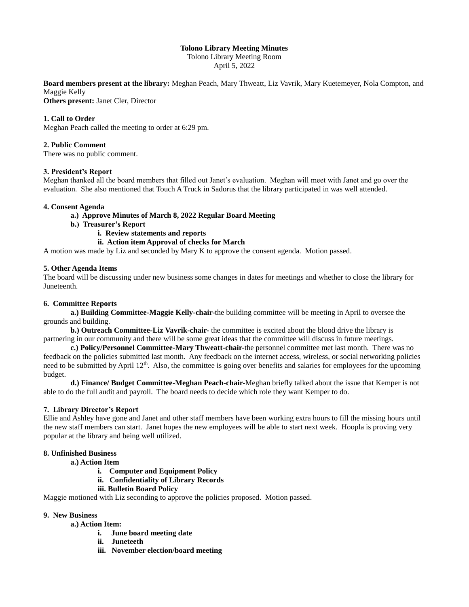# **Tolono Library Meeting Minutes**

Tolono Library Meeting Room April 5, 2022

**Board members present at the library:** Meghan Peach, Mary Thweatt, Liz Vavrik, Mary Kuetemeyer, Nola Compton, and Maggie Kelly

**Others present:** Janet Cler, Director

# **1. Call to Order**

Meghan Peach called the meeting to order at 6:29 pm.

### **2. Public Comment**

There was no public comment.

#### **3. President's Report**

Meghan thanked all the board members that filled out Janet's evaluation. Meghan will meet with Janet and go over the evaluation. She also mentioned that Touch A Truck in Sadorus that the library participated in was well attended.

#### **4. Consent Agenda**

- **a.) Approve Minutes of March 8, 2022 Regular Board Meeting**
- **b.) Treasurer's Report**
	- **i. Review statements and reports**

# **ii. Action item Approval of checks for March**

A motion was made by Liz and seconded by Mary K to approve the consent agenda. Motion passed.

#### **5. Other Agenda Items**

The board will be discussing under new business some changes in dates for meetings and whether to close the library for Juneteenth.

#### **6. Committee Reports**

**a.) Building Committee-Maggie Kelly-chair-**the building committee will be meeting in April to oversee the grounds and building.

**b.) Outreach Committee-Liz Vavrik-chair-** the committee is excited about the blood drive the library is partnering in our community and there will be some great ideas that the committee will discuss in future meetings.

**c.) Policy/Personnel Committee-Mary Thweatt-chair-**the personnel committee met last month. There was no feedback on the policies submitted last month. Any feedback on the internet access, wireless, or social networking policies need to be submitted by April  $12<sup>th</sup>$ . Also, the committee is going over benefits and salaries for employees for the upcoming budget.

**d.) Finance/ Budget Committee-Meghan Peach-chair-**Meghan briefly talked about the issue that Kemper is not able to do the full audit and payroll. The board needs to decide which role they want Kemper to do.

# **7. Library Director's Report**

Ellie and Ashley have gone and Janet and other staff members have been working extra hours to fill the missing hours until the new staff members can start. Janet hopes the new employees will be able to start next week. Hoopla is proving very popular at the library and being well utilized.

# **8. Unfinished Business**

# **a.) Action Item**

- **i. Computer and Equipment Policy**
- **ii. Confidentiality of Library Records**
- **iii. Bulletin Board Policy**

Maggie motioned with Liz seconding to approve the policies proposed. Motion passed.

#### **9. New Business**

# **a.) Action Item:**

- **i. June board meeting date**
- **ii. Juneteeth**
- **iii. November election/board meeting**